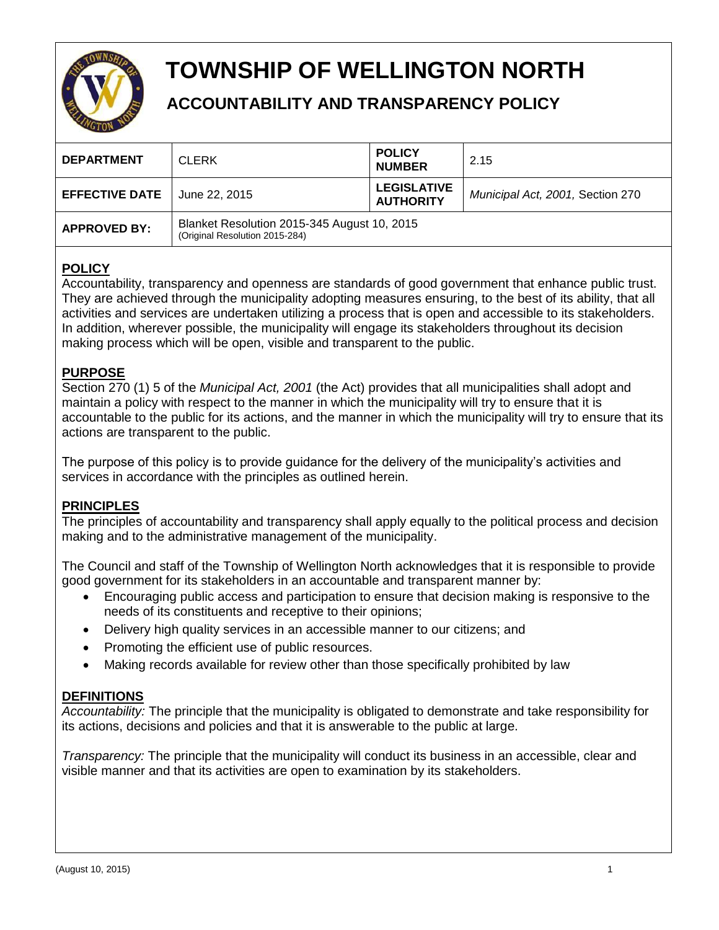

# **TOWNSHIP OF WELLINGTON NORTH**

## **ACCOUNTABILITY AND TRANSPARENCY POLICY**

| <b>DEPARTMENT</b>     | <b>CLERK</b>                                                                  | <b>POLICY</b><br><b>NUMBER</b>         | 2.15                             |
|-----------------------|-------------------------------------------------------------------------------|----------------------------------------|----------------------------------|
| <b>EFFECTIVE DATE</b> | June 22, 2015                                                                 | <b>LEGISLATIVE</b><br><b>AUTHORITY</b> | Municipal Act, 2001, Section 270 |
| <b>APPROVED BY:</b>   | Blanket Resolution 2015-345 August 10, 2015<br>(Original Resolution 2015-284) |                                        |                                  |

## **POLICY**

Accountability, transparency and openness are standards of good government that enhance public trust. They are achieved through the municipality adopting measures ensuring, to the best of its ability, that all activities and services are undertaken utilizing a process that is open and accessible to its stakeholders. In addition, wherever possible, the municipality will engage its stakeholders throughout its decision making process which will be open, visible and transparent to the public.

## **PURPOSE**

Section 270 (1) 5 of the *Municipal Act, 2001* (the Act) provides that all municipalities shall adopt and maintain a policy with respect to the manner in which the municipality will try to ensure that it is accountable to the public for its actions, and the manner in which the municipality will try to ensure that its actions are transparent to the public.

The purpose of this policy is to provide guidance for the delivery of the municipality's activities and services in accordance with the principles as outlined herein.

### **PRINCIPLES**

The principles of accountability and transparency shall apply equally to the political process and decision making and to the administrative management of the municipality.

The Council and staff of the Township of Wellington North acknowledges that it is responsible to provide good government for its stakeholders in an accountable and transparent manner by:

- Encouraging public access and participation to ensure that decision making is responsive to the needs of its constituents and receptive to their opinions;
- Delivery high quality services in an accessible manner to our citizens; and
- Promoting the efficient use of public resources.
- Making records available for review other than those specifically prohibited by law

#### **DEFINITIONS**

*Accountability:* The principle that the municipality is obligated to demonstrate and take responsibility for its actions, decisions and policies and that it is answerable to the public at large.

*Transparency:* The principle that the municipality will conduct its business in an accessible, clear and visible manner and that its activities are open to examination by its stakeholders.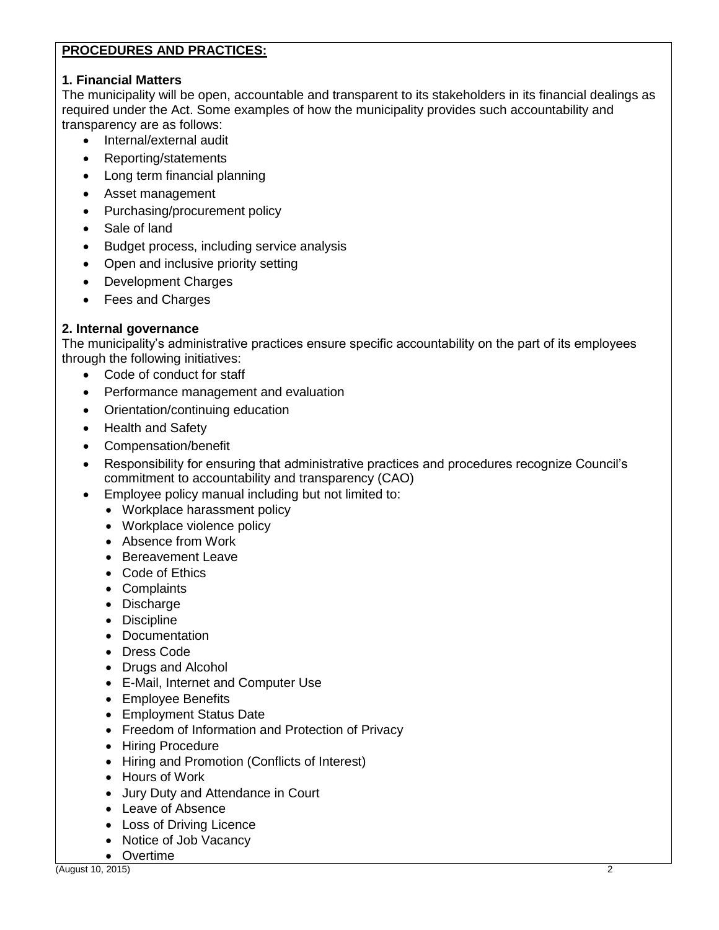#### **PROCEDURES AND PRACTICES:**

#### **1. Financial Matters**

The municipality will be open, accountable and transparent to its stakeholders in its financial dealings as required under the Act. Some examples of how the municipality provides such accountability and transparency are as follows:

- Internal/external audit
- Reporting/statements
- Long term financial planning
- Asset management
- Purchasing/procurement policy
- Sale of land
- Budget process, including service analysis
- Open and inclusive priority setting
- Development Charges
- Fees and Charges

#### **2. Internal governance**

The municipality's administrative practices ensure specific accountability on the part of its employees through the following initiatives:

- Code of conduct for staff
- Performance management and evaluation
- Orientation/continuing education
- Health and Safety
- Compensation/benefit
- Responsibility for ensuring that administrative practices and procedures recognize Council's commitment to accountability and transparency (CAO)
- Employee policy manual including but not limited to:
	- Workplace harassment policy
	- Workplace violence policy
	- Absence from Work
	- **Bereavement Leave**
	- Code of Ethics
	- Complaints
	- Discharge
	- Discipline
	- Documentation
	- Dress Code
	- Drugs and Alcohol
	- E-Mail, Internet and Computer Use
	- Employee Benefits
	- Employment Status Date
	- Freedom of Information and Protection of Privacy
	- Hiring Procedure
	- Hiring and Promotion (Conflicts of Interest)
	- Hours of Work
	- Jury Duty and Attendance in Court
	- Leave of Absence
	- Loss of Driving Licence
	- Notice of Job Vacancy
	- Overtime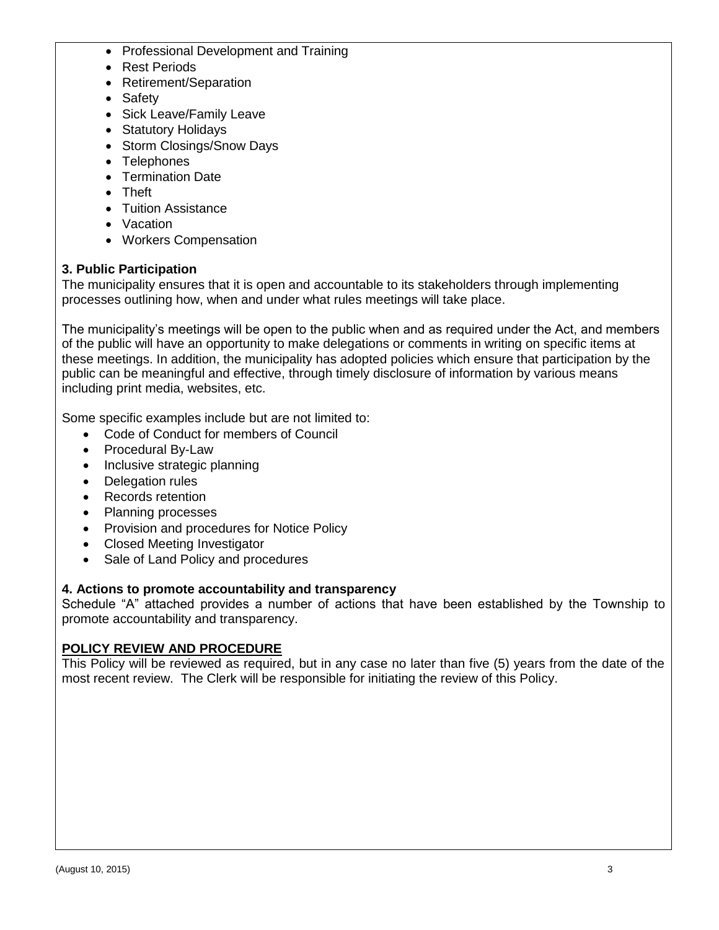- Professional Development and Training
- Rest Periods
- Retirement/Separation
- Safety
- Sick Leave/Family Leave
- Statutory Holidays
- Storm Closings/Snow Days
- Telephones
- Termination Date
- Theft
- Tuition Assistance
- Vacation
- Workers Compensation

#### **3. Public Participation**

The municipality ensures that it is open and accountable to its stakeholders through implementing processes outlining how, when and under what rules meetings will take place.

The municipality's meetings will be open to the public when and as required under the Act, and members of the public will have an opportunity to make delegations or comments in writing on specific items at these meetings. In addition, the municipality has adopted policies which ensure that participation by the public can be meaningful and effective, through timely disclosure of information by various means including print media, websites, etc.

Some specific examples include but are not limited to:

- Code of Conduct for members of Council
- Procedural By-Law
- Inclusive strategic planning
- Delegation rules
- Records retention
- Planning processes
- Provision and procedures for Notice Policy
- Closed Meeting Investigator
- Sale of Land Policy and procedures

#### **4. Actions to promote accountability and transparency**

Schedule "A" attached provides a number of actions that have been established by the Township to promote accountability and transparency.

#### **POLICY REVIEW AND PROCEDURE**

This Policy will be reviewed as required, but in any case no later than five (5) years from the date of the most recent review. The Clerk will be responsible for initiating the review of this Policy.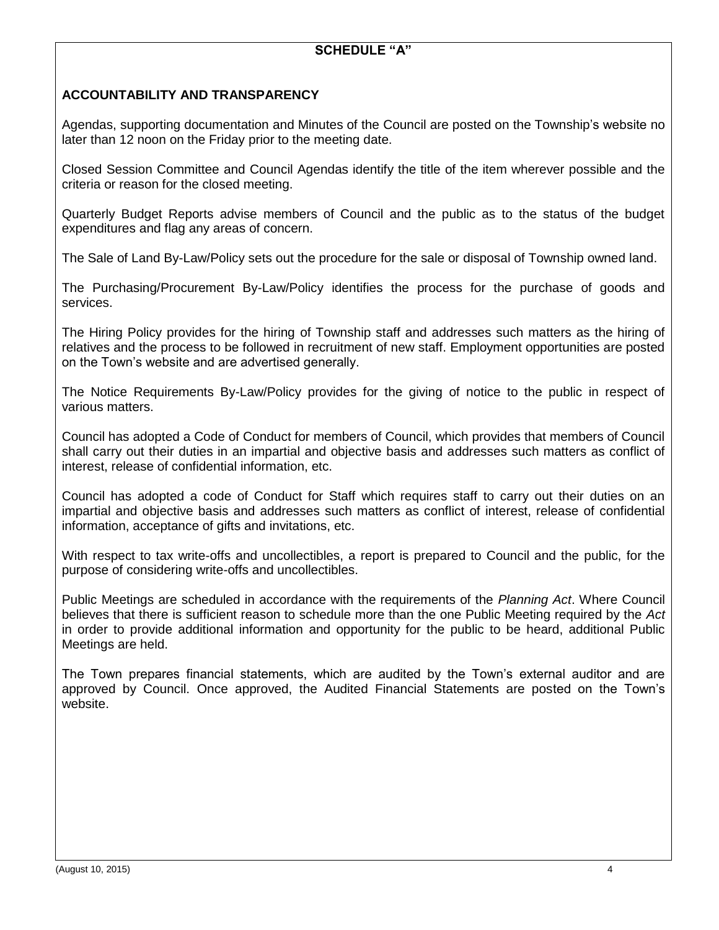#### **ACCOUNTABILITY AND TRANSPARENCY**

Agendas, supporting documentation and Minutes of the Council are posted on the Township's website no later than 12 noon on the Friday prior to the meeting date.

Closed Session Committee and Council Agendas identify the title of the item wherever possible and the criteria or reason for the closed meeting.

Quarterly Budget Reports advise members of Council and the public as to the status of the budget expenditures and flag any areas of concern.

The Sale of Land By-Law/Policy sets out the procedure for the sale or disposal of Township owned land.

The Purchasing/Procurement By-Law/Policy identifies the process for the purchase of goods and services.

The Hiring Policy provides for the hiring of Township staff and addresses such matters as the hiring of relatives and the process to be followed in recruitment of new staff. Employment opportunities are posted on the Town's website and are advertised generally.

The Notice Requirements By-Law/Policy provides for the giving of notice to the public in respect of various matters.

Council has adopted a Code of Conduct for members of Council, which provides that members of Council shall carry out their duties in an impartial and objective basis and addresses such matters as conflict of interest, release of confidential information, etc.

Council has adopted a code of Conduct for Staff which requires staff to carry out their duties on an impartial and objective basis and addresses such matters as conflict of interest, release of confidential information, acceptance of gifts and invitations, etc.

With respect to tax write-offs and uncollectibles, a report is prepared to Council and the public, for the purpose of considering write-offs and uncollectibles.

Public Meetings are scheduled in accordance with the requirements of the *Planning Act*. Where Council believes that there is sufficient reason to schedule more than the one Public Meeting required by the *Act*  in order to provide additional information and opportunity for the public to be heard, additional Public Meetings are held.

The Town prepares financial statements, which are audited by the Town's external auditor and are approved by Council. Once approved, the Audited Financial Statements are posted on the Town's website.